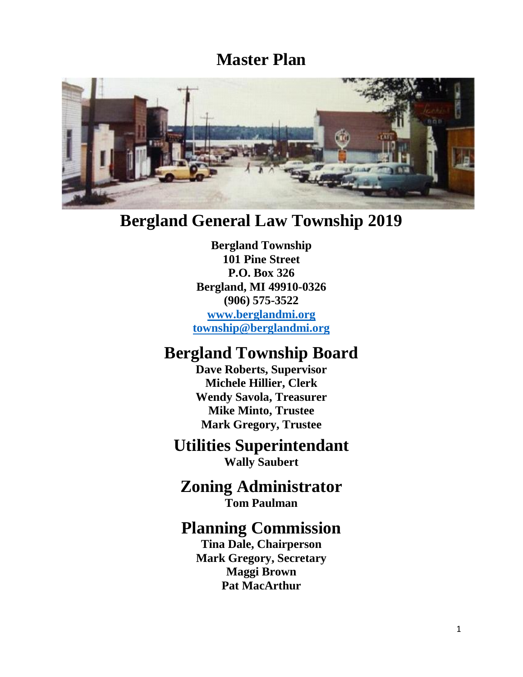# **Master Plan**



# **Bergland General Law Township 2019**

**Bergland Township 101 Pine Street P.O. Box 326 Bergland, MI 49910-0326 (906) 575-3522**

**[www.berglandmi.org](http://www.berglandmi.org/) [township@berglandmi.org](mailto:township@berglandmi.org)**

# **Bergland Township Board**

**Dave Roberts, Supervisor Michele Hillier, Clerk Wendy Savola, Treasurer Mike Minto, Trustee Mark Gregory, Trustee**

# **Utilities Superintendant**

**Wally Saubert**

## **Zoning Administrator Tom Paulman**

## **Planning Commission**

**Tina Dale, Chairperson Mark Gregory, Secretary Maggi Brown Pat MacArthur**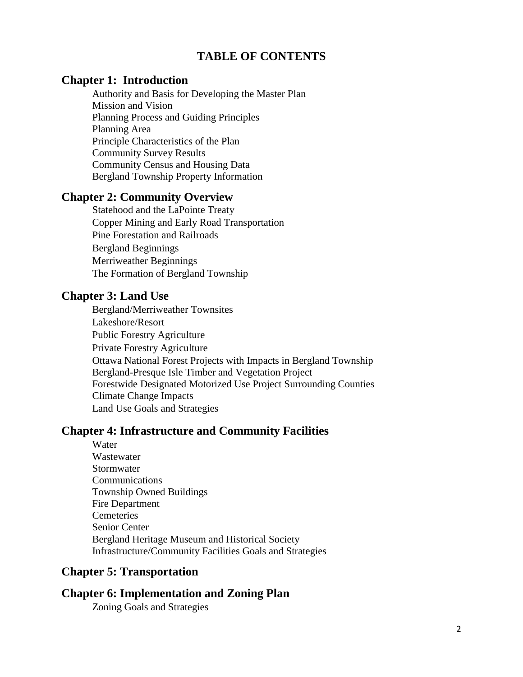## **TABLE OF CONTENTS**

#### **Chapter 1: Introduction**

Authority and Basis for Developing the Master Plan Mission and Vision Planning Process and Guiding Principles Planning Area Principle Characteristics of the Plan Community Survey Results Community Census and Housing Data Bergland Township Property Information

#### **Chapter 2: Community Overview**

Statehood and the LaPointe Treaty Copper Mining and Early Road Transportation Pine Forestation and Railroads Bergland Beginnings Merriweather Beginnings The Formation of Bergland Township

#### **Chapter 3: Land Use**

Bergland/Merriweather Townsites Lakeshore/Resort Public Forestry Agriculture Private Forestry Agriculture Ottawa National Forest Projects with Impacts in Bergland Township Bergland-Presque Isle Timber and Vegetation Project Forestwide Designated Motorized Use Project Surrounding Counties Climate Change Impacts Land Use Goals and Strategies

## **Chapter 4: Infrastructure and Community Facilities**

Water **Wastewater** Stormwater Communications Township Owned Buildings Fire Department **Cemeteries** Senior Center Bergland Heritage Museum and Historical Society Infrastructure/Community Facilities Goals and Strategies

## **Chapter 5: Transportation**

## **Chapter 6: Implementation and Zoning Plan**

Zoning Goals and Strategies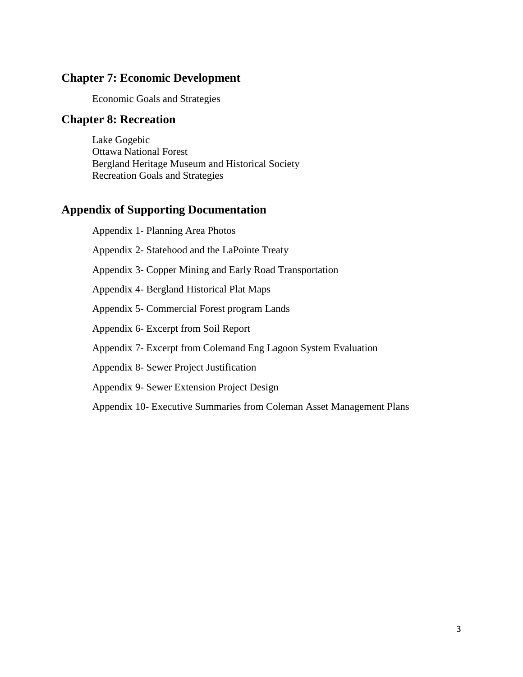## **Chapter 7: Economic Development**

Economic Goals and Strategies

### **Chapter 8: Recreation**

Lake Gogebic Ottawa National Forest Bergland Heritage Museum and Historical Society Recreation Goals and Strategies

## **Appendix of Supporting Documentation**

Appendix 1- Planning Area Photos Appendix 2- Statehood and the LaPointe Treaty Appendix 3- Copper Mining and Early Road Transportation Appendix 4- Bergland Historical Plat Maps Appendix 5- Commercial Forest program Lands Appendix 6- Excerpt from Soil Report Appendix 7- Excerpt from Colemand Eng Lagoon System Evaluation Appendix 8- Sewer Project Justification Appendix 9- Sewer Extension Project Design Appendix 10- Executive Summaries from Coleman Asset Management Plans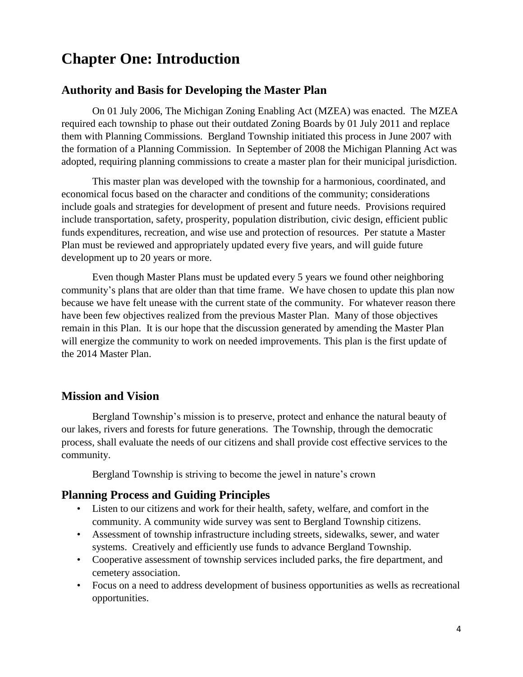# **Chapter One: Introduction**

### **Authority and Basis for Developing the Master Plan**

On 01 July 2006, The Michigan Zoning Enabling Act (MZEA) was enacted. The MZEA required each township to phase out their outdated Zoning Boards by 01 July 2011 and replace them with Planning Commissions. Bergland Township initiated this process in June 2007 with the formation of a Planning Commission. In September of 2008 the Michigan Planning Act was adopted, requiring planning commissions to create a master plan for their municipal jurisdiction.

This master plan was developed with the township for a harmonious, coordinated, and economical focus based on the character and conditions of the community; considerations include goals and strategies for development of present and future needs. Provisions required include transportation, safety, prosperity, population distribution, civic design, efficient public funds expenditures, recreation, and wise use and protection of resources. Per statute a Master Plan must be reviewed and appropriately updated every five years, and will guide future development up to 20 years or more.

Even though Master Plans must be updated every 5 years we found other neighboring community's plans that are older than that time frame. We have chosen to update this plan now because we have felt unease with the current state of the community. For whatever reason there have been few objectives realized from the previous Master Plan. Many of those objectives remain in this Plan. It is our hope that the discussion generated by amending the Master Plan will energize the community to work on needed improvements. This plan is the first update of the 2014 Master Plan.

### **Mission and Vision**

Bergland Township's mission is to preserve, protect and enhance the natural beauty of our lakes, rivers and forests for future generations. The Township, through the democratic process, shall evaluate the needs of our citizens and shall provide cost effective services to the community.

Bergland Township is striving to become the jewel in nature's crown

#### **Planning Process and Guiding Principles**

- Listen to our citizens and work for their health, safety, welfare, and comfort in the community. A community wide survey was sent to Bergland Township citizens.
- Assessment of township infrastructure including streets, sidewalks, sewer, and water systems. Creatively and efficiently use funds to advance Bergland Township.
- Cooperative assessment of township services included parks, the fire department, and cemetery association.
- Focus on a need to address development of business opportunities as wells as recreational opportunities.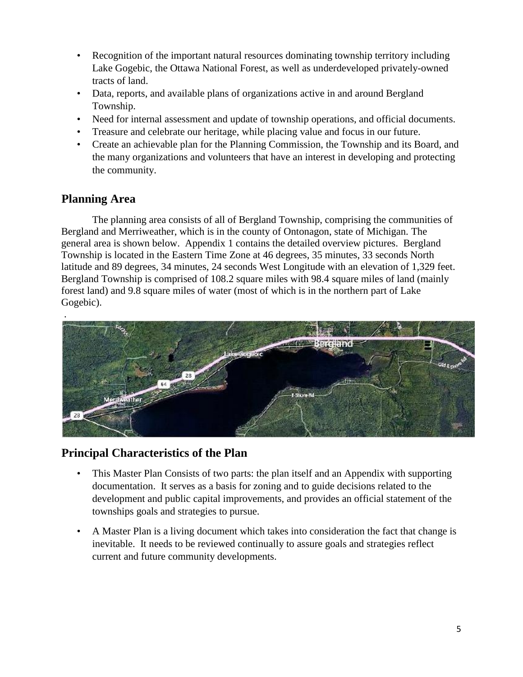- Recognition of the important natural resources dominating township territory including Lake Gogebic, the Ottawa National Forest, as well as underdeveloped privately-owned tracts of land.
- Data, reports, and available plans of organizations active in and around Bergland Township.
- Need for internal assessment and update of township operations, and official documents.
- Treasure and celebrate our heritage, while placing value and focus in our future.
- Create an achievable plan for the Planning Commission, the Township and its Board, and the many organizations and volunteers that have an interest in developing and protecting the community.

## **Planning Area**

The planning area consists of all of Bergland Township, comprising the communities of Bergland and Merriweather, which is in the county of Ontonagon, state of Michigan. The general area is shown below. Appendix 1 contains the detailed overview pictures. Bergland Township is located in the Eastern Time Zone at 46 degrees, 35 minutes, 33 seconds North latitude and 89 degrees, 34 minutes, 24 seconds West Longitude with an elevation of 1,329 feet. Bergland Township is comprised of 108.2 square miles with 98.4 square miles of land (mainly forest land) and 9.8 square miles of water (most of which is in the northern part of Lake Gogebic).



## **Principal Characteristics of the Plan**

- This Master Plan Consists of two parts: the plan itself and an Appendix with supporting documentation. It serves as a basis for zoning and to guide decisions related to the development and public capital improvements, and provides an official statement of the townships goals and strategies to pursue.
- A Master Plan is a living document which takes into consideration the fact that change is inevitable. It needs to be reviewed continually to assure goals and strategies reflect current and future community developments.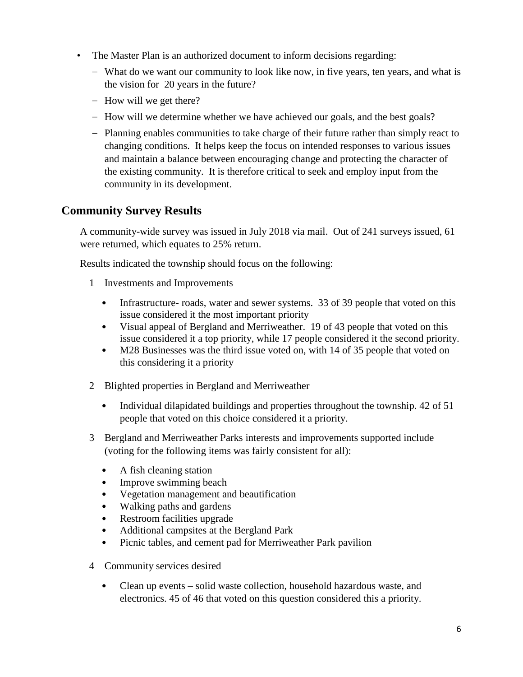- The Master Plan is an authorized document to inform decisions regarding:
	- What do we want our community to look like now, in five years, ten years, and what is the vision for 20 years in the future?
	- How will we get there?
	- How will we determine whether we have achieved our goals, and the best goals?
	- Planning enables communities to take charge of their future rather than simply react to changing conditions. It helps keep the focus on intended responses to various issues and maintain a balance between encouraging change and protecting the character of the existing community. It is therefore critical to seek and employ input from the community in its development.

## **Community Survey Results**

A community-wide survey was issued in July 2018 via mail. Out of 241 surveys issued, 61 were returned, which equates to 25% return.

Results indicated the township should focus on the following:

- 1 Investments and Improvements
	- Infrastructure- roads, water and sewer systems. 33 of 39 people that voted on this issue considered it the most important priority
	- Visual appeal of Bergland and Merriweather. 19 of 43 people that voted on this issue considered it a top priority, while 17 people considered it the second priority.
	- M28 Businesses was the third issue voted on, with 14 of 35 people that voted on this considering it a priority
- 2 Blighted properties in Bergland and Merriweather
	- Individual dilapidated buildings and properties throughout the township. 42 of 51 people that voted on this choice considered it a priority.
- 3 Bergland and Merriweather Parks interests and improvements supported include (voting for the following items was fairly consistent for all):
	- A fish cleaning station
	- Improve swimming beach
	- Vegetation management and beautification
	- Walking paths and gardens
	- Restroom facilities upgrade
	- Additional campsites at the Bergland Park
	- Picnic tables, and cement pad for Merriweather Park pavilion
- 4 Community services desired
	- Clean up events solid waste collection, household hazardous waste, and electronics. 45 of 46 that voted on this question considered this a priority.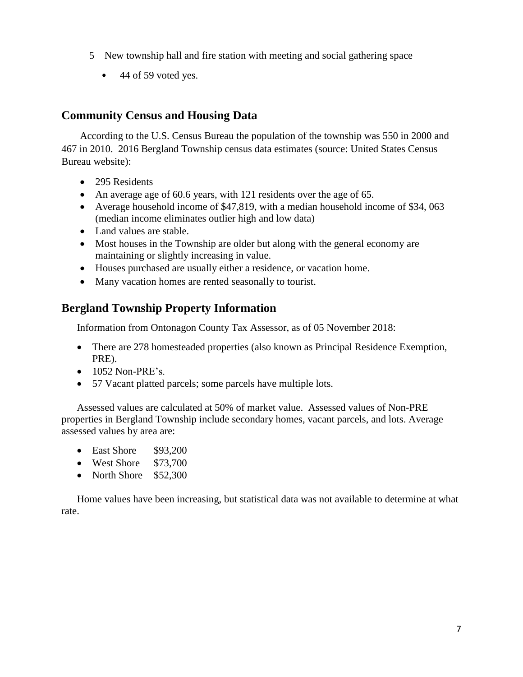- 5 New township hall and fire station with meeting and social gathering space
	- 44 of 59 voted yes.

## **Community Census and Housing Data**

According to the U.S. Census Bureau the population of the township was 550 in 2000 and 467 in 2010. 2016 Bergland Township census data estimates (source: United States Census Bureau website):

- 295 Residents
- An average age of 60.6 years, with 121 residents over the age of 65.
- Average household income of \$47,819, with a median household income of \$34,063 (median income eliminates outlier high and low data)
- Land values are stable.
- Most houses in the Township are older but along with the general economy are maintaining or slightly increasing in value.
- Houses purchased are usually either a residence, or vacation home.
- Many vacation homes are rented seasonally to tourist.

## **Bergland Township Property Information**

Information from Ontonagon County Tax Assessor, as of 05 November 2018:

- There are 278 homesteaded properties (also known as Principal Residence Exemption, PRE).
- 1052 Non-PRE's.
- 57 Vacant platted parcels; some parcels have multiple lots.

Assessed values are calculated at 50% of market value. Assessed values of Non-PRE properties in Bergland Township include secondary homes, vacant parcels, and lots. Average assessed values by area are:

- East Shore \$93,200
- West Shore \$73,700
- North Shore \$52,300

Home values have been increasing, but statistical data was not available to determine at what rate.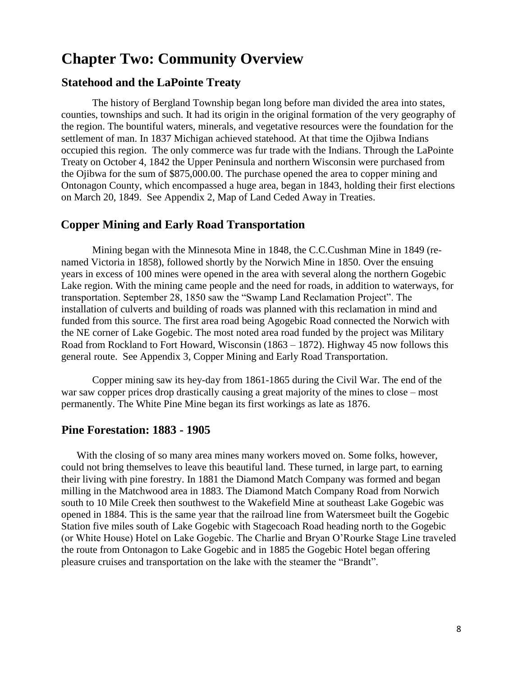## **Chapter Two: Community Overview**

#### **Statehood and the LaPointe Treaty**

The history of Bergland Township began long before man divided the area into states, counties, townships and such. It had its origin in the original formation of the very geography of the region. The bountiful waters, minerals, and vegetative resources were the foundation for the settlement of man. In 1837 Michigan achieved statehood. At that time the Ojibwa Indians occupied this region. The only commerce was fur trade with the Indians. Through the LaPointe Treaty on October 4, 1842 the Upper Peninsula and northern Wisconsin were purchased from the Ojibwa for the sum of \$875,000.00. The purchase opened the area to copper mining and Ontonagon County, which encompassed a huge area, began in 1843, holding their first elections on March 20, 1849. See Appendix 2, Map of Land Ceded Away in Treaties.

#### **Copper Mining and Early Road Transportation**

Mining began with the Minnesota Mine in 1848, the C.C.Cushman Mine in 1849 (renamed Victoria in 1858), followed shortly by the Norwich Mine in 1850. Over the ensuing years in excess of 100 mines were opened in the area with several along the northern Gogebic Lake region. With the mining came people and the need for roads, in addition to waterways, for transportation. September 28, 1850 saw the "Swamp Land Reclamation Project". The installation of culverts and building of roads was planned with this reclamation in mind and funded from this source. The first area road being Agogebic Road connected the Norwich with the NE corner of Lake Gogebic. The most noted area road funded by the project was Military Road from Rockland to Fort Howard, Wisconsin (1863 – 1872). Highway 45 now follows this general route. See Appendix 3, Copper Mining and Early Road Transportation.

Copper mining saw its hey-day from 1861-1865 during the Civil War. The end of the war saw copper prices drop drastically causing a great majority of the mines to close – most permanently. The White Pine Mine began its first workings as late as 1876.

#### **Pine Forestation: 1883 - 1905**

With the closing of so many area mines many workers moved on. Some folks, however, could not bring themselves to leave this beautiful land. These turned, in large part, to earning their living with pine forestry. In 1881 the Diamond Match Company was formed and began milling in the Matchwood area in 1883. The Diamond Match Company Road from Norwich south to 10 Mile Creek then southwest to the Wakefield Mine at southeast Lake Gogebic was opened in 1884. This is the same year that the railroad line from Watersmeet built the Gogebic Station five miles south of Lake Gogebic with Stagecoach Road heading north to the Gogebic (or White House) Hotel on Lake Gogebic. The Charlie and Bryan O'Rourke Stage Line traveled the route from Ontonagon to Lake Gogebic and in 1885 the Gogebic Hotel began offering pleasure cruises and transportation on the lake with the steamer the "Brandt".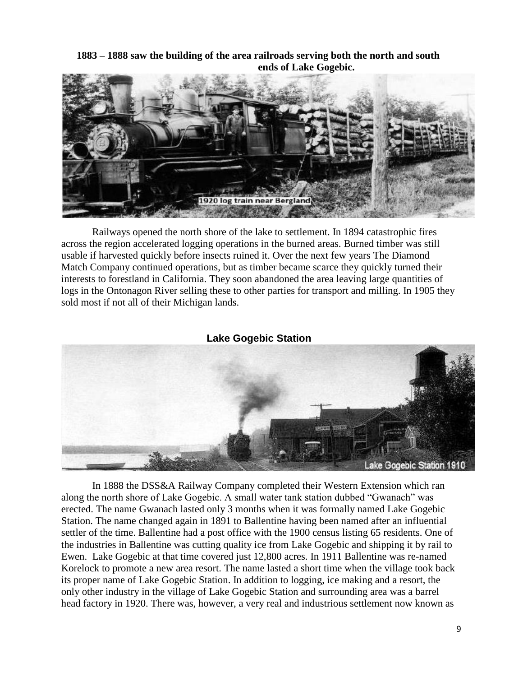**1883 – 1888 saw the building of the area railroads serving both the north and south ends of Lake Gogebic.** 



Railways opened the north shore of the lake to settlement. In 1894 catastrophic fires across the region accelerated logging operations in the burned areas. Burned timber was still usable if harvested quickly before insects ruined it. Over the next few years The Diamond Match Company continued operations, but as timber became scarce they quickly turned their interests to forestland in California. They soon abandoned the area leaving large quantities of logs in the Ontonagon River selling these to other parties for transport and milling. In 1905 they sold most if not all of their Michigan lands.



In 1888 the DSS&A Railway Company completed their Western Extension which ran along the north shore of Lake Gogebic. A small water tank station dubbed "Gwanach" was erected. The name Gwanach lasted only 3 months when it was formally named Lake Gogebic Station. The name changed again in 1891 to Ballentine having been named after an influential settler of the time. Ballentine had a post office with the 1900 census listing 65 residents. One of the industries in Ballentine was cutting quality ice from Lake Gogebic and shipping it by rail to Ewen. Lake Gogebic at that time covered just 12,800 acres. In 1911 Ballentine was re-named Korelock to promote a new area resort. The name lasted a short time when the village took back its proper name of Lake Gogebic Station. In addition to logging, ice making and a resort, the only other industry in the village of Lake Gogebic Station and surrounding area was a barrel head factory in 1920. There was, however, a very real and industrious settlement now known as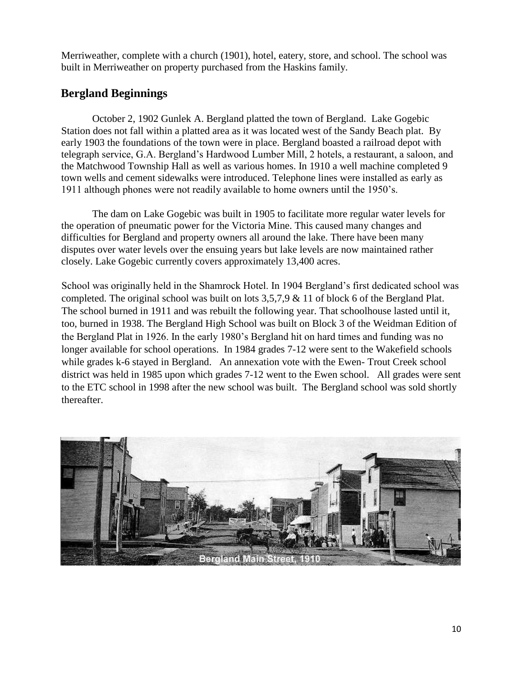Merriweather, complete with a church (1901), hotel, eatery, store, and school. The school was built in Merriweather on property purchased from the Haskins family.

## **Bergland Beginnings**

October 2, 1902 Gunlek A. Bergland platted the town of Bergland. Lake Gogebic Station does not fall within a platted area as it was located west of the Sandy Beach plat. By early 1903 the foundations of the town were in place. Bergland boasted a railroad depot with telegraph service, G.A. Bergland's Hardwood Lumber Mill, 2 hotels, a restaurant, a saloon, and the Matchwood Township Hall as well as various homes. In 1910 a well machine completed 9 town wells and cement sidewalks were introduced. Telephone lines were installed as early as 1911 although phones were not readily available to home owners until the 1950's.

The dam on Lake Gogebic was built in 1905 to facilitate more regular water levels for the operation of pneumatic power for the Victoria Mine. This caused many changes and difficulties for Bergland and property owners all around the lake. There have been many disputes over water levels over the ensuing years but lake levels are now maintained rather closely. Lake Gogebic currently covers approximately 13,400 acres.

School was originally held in the Shamrock Hotel. In 1904 Bergland's first dedicated school was completed. The original school was built on lots 3,5,7,9 & 11 of block 6 of the Bergland Plat. The school burned in 1911 and was rebuilt the following year. That schoolhouse lasted until it, too, burned in 1938. The Bergland High School was built on Block 3 of the Weidman Edition of the Bergland Plat in 1926. In the early 1980's Bergland hit on hard times and funding was no longer available for school operations. In 1984 grades 7-12 were sent to the Wakefield schools while grades k-6 stayed in Bergland. An annexation vote with the Ewen-Trout Creek school district was held in 1985 upon which grades 7-12 went to the Ewen school. All grades were sent to the ETC school in 1998 after the new school was built. The Bergland school was sold shortly thereafter.

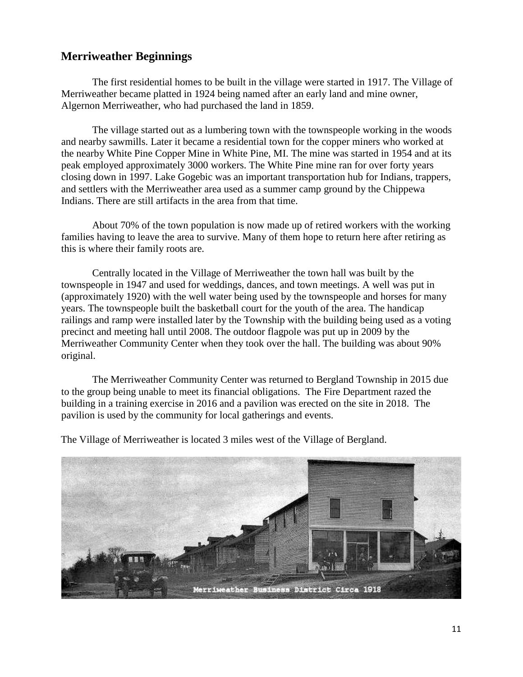## **Merriweather Beginnings**

The first residential homes to be built in the village were started in 1917. The Village of Merriweather became platted in 1924 being named after an early land and mine owner, Algernon Merriweather, who had purchased the land in 1859.

The village started out as a lumbering town with the townspeople working in the woods and nearby sawmills. Later it became a residential town for the copper miners who worked at the nearby White Pine Copper Mine in White Pine, MI. The mine was started in 1954 and at its peak employed approximately 3000 workers. The White Pine mine ran for over forty years closing down in 1997. Lake Gogebic was an important transportation hub for Indians, trappers, and settlers with the Merriweather area used as a summer camp ground by the Chippewa Indians. There are still artifacts in the area from that time.

About 70% of the town population is now made up of retired workers with the working families having to leave the area to survive. Many of them hope to return here after retiring as this is where their family roots are.

Centrally located in the Village of Merriweather the town hall was built by the townspeople in 1947 and used for weddings, dances, and town meetings. A well was put in (approximately 1920) with the well water being used by the townspeople and horses for many years. The townspeople built the basketball court for the youth of the area. The handicap railings and ramp were installed later by the Township with the building being used as a voting precinct and meeting hall until 2008. The outdoor flagpole was put up in 2009 by the Merriweather Community Center when they took over the hall. The building was about 90% original.

The Merriweather Community Center was returned to Bergland Township in 2015 due to the group being unable to meet its financial obligations. The Fire Department razed the building in a training exercise in 2016 and a pavilion was erected on the site in 2018. The pavilion is used by the community for local gatherings and events.



The Village of Merriweather is located 3 miles west of the Village of Bergland.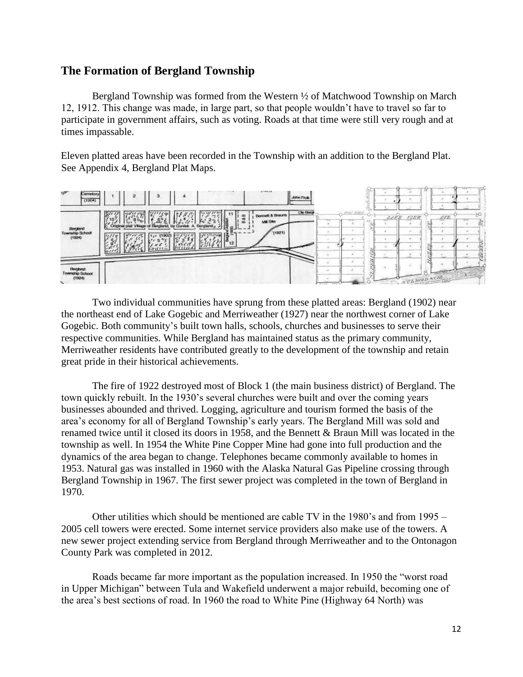## **The Formation of Bergland Township**

Bergland Township was formed from the Western ½ of Matchwood Township on March 12, 1912. This change was made, in large part, so that people wouldn't have to travel so far to participate in government affairs, such as voting. Roads at that time were still very rough and at times impassable.

Eleven platted areas have been recorded in the Township with an addition to the Bergland Plat. See Appendix 4, Bergland Plat Maps.



Two individual communities have sprung from these platted areas: Bergland (1902) near the northeast end of Lake Gogebic and Merriweather (1927) near the northwest corner of Lake Gogebic. Both community's built town halls, schools, churches and businesses to serve their respective communities. While Bergland has maintained status as the primary community, Merriweather residents have contributed greatly to the development of the township and retain great pride in their historical achievements.

The fire of 1922 destroyed most of Block 1 (the main business district) of Bergland. The town quickly rebuilt. In the 1930's several churches were built and over the coming years businesses abounded and thrived. Logging, agriculture and tourism formed the basis of the area's economy for all of Bergland Township's early years. The Bergland Mill was sold and renamed twice until it closed its doors in 1958, and the Bennett & Braun Mill was located in the township as well. In 1954 the White Pine Copper Mine had gone into full production and the dynamics of the area began to change. Telephones became commonly available to homes in 1953. Natural gas was installed in 1960 with the Alaska Natural Gas Pipeline crossing through Bergland Township in 1967. The first sewer project was completed in the town of Bergland in 1970.

Other utilities which should be mentioned are cable TV in the 1980's and from 1995 – 2005 cell towers were erected. Some internet service providers also make use of the towers. A new sewer project extending service from Bergland through Merriweather and to the Ontonagon County Park was completed in 2012.

Roads became far more important as the population increased. In 1950 the "worst road in Upper Michigan" between Tula and Wakefield underwent a major rebuild, becoming one of the area's best sections of road. In 1960 the road to White Pine (Highway 64 North) was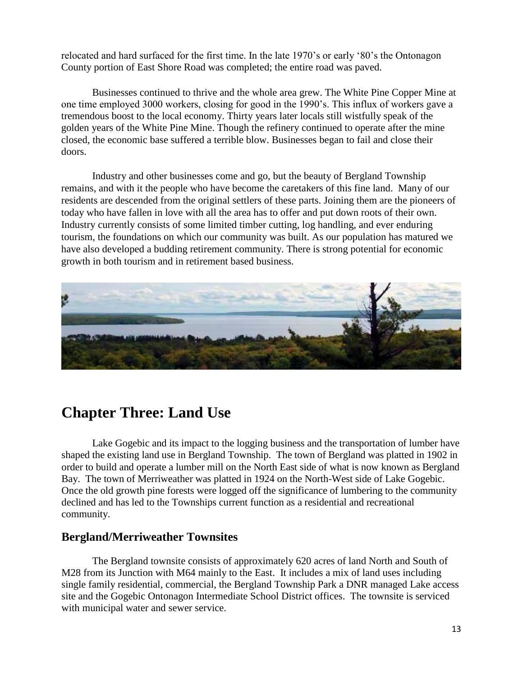relocated and hard surfaced for the first time. In the late 1970's or early '80's the Ontonagon County portion of East Shore Road was completed; the entire road was paved.

Businesses continued to thrive and the whole area grew. The White Pine Copper Mine at one time employed 3000 workers, closing for good in the 1990's. This influx of workers gave a tremendous boost to the local economy. Thirty years later locals still wistfully speak of the golden years of the White Pine Mine. Though the refinery continued to operate after the mine closed, the economic base suffered a terrible blow. Businesses began to fail and close their doors.

Industry and other businesses come and go, but the beauty of Bergland Township remains, and with it the people who have become the caretakers of this fine land. Many of our residents are descended from the original settlers of these parts. Joining them are the pioneers of today who have fallen in love with all the area has to offer and put down roots of their own. Industry currently consists of some limited timber cutting, log handling, and ever enduring tourism, the foundations on which our community was built. As our population has matured we have also developed a budding retirement community. There is strong potential for economic growth in both tourism and in retirement based business.



## **Chapter Three: Land Use**

Lake Gogebic and its impact to the logging business and the transportation of lumber have shaped the existing land use in Bergland Township. The town of Bergland was platted in 1902 in order to build and operate a lumber mill on the North East side of what is now known as Bergland Bay. The town of Merriweather was platted in 1924 on the North-West side of Lake Gogebic. Once the old growth pine forests were logged off the significance of lumbering to the community declined and has led to the Townships current function as a residential and recreational community.

#### **Bergland/Merriweather Townsites**

The Bergland townsite consists of approximately 620 acres of land North and South of M28 from its Junction with M64 mainly to the East. It includes a mix of land uses including single family residential, commercial, the Bergland Township Park a DNR managed Lake access site and the Gogebic Ontonagon Intermediate School District offices. The townsite is serviced with municipal water and sewer service.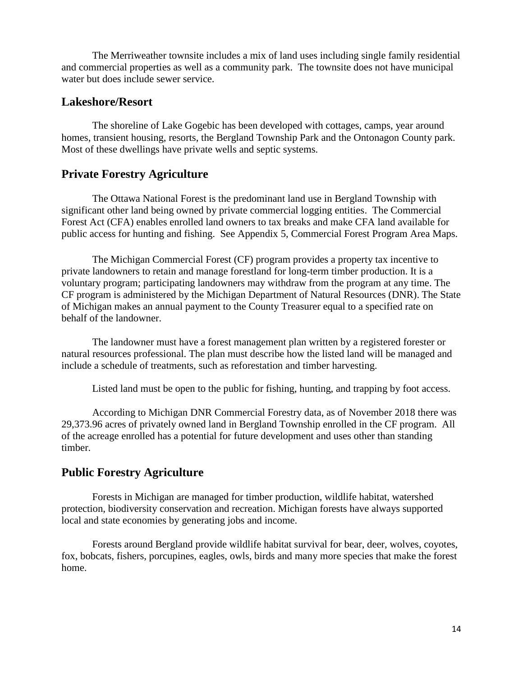The Merriweather townsite includes a mix of land uses including single family residential and commercial properties as well as a community park. The townsite does not have municipal water but does include sewer service.

#### **Lakeshore/Resort**

The shoreline of Lake Gogebic has been developed with cottages, camps, year around homes, transient housing, resorts, the Bergland Township Park and the Ontonagon County park. Most of these dwellings have private wells and septic systems.

## **Private Forestry Agriculture**

The Ottawa National Forest is the predominant land use in Bergland Township with significant other land being owned by private commercial logging entities. The Commercial Forest Act (CFA) enables enrolled land owners to tax breaks and make CFA land available for public access for hunting and fishing. See Appendix 5, Commercial Forest Program Area Maps.

The Michigan Commercial Forest (CF) program provides a property tax incentive to private landowners to retain and manage forestland for long-term timber production. It is a voluntary program; participating landowners may withdraw from the program at any time. The CF program is administered by the Michigan Department of Natural Resources (DNR). The State of Michigan makes an annual payment to the County Treasurer equal to a specified rate on behalf of the landowner.

The landowner must have a forest management plan written by a registered forester or natural resources professional. The plan must describe how the listed land will be managed and include a schedule of treatments, such as reforestation and timber harvesting.

Listed land must be open to the public for fishing, hunting, and trapping by foot access.

According to Michigan DNR Commercial Forestry data, as of November 2018 there was 29,373.96 acres of privately owned land in Bergland Township enrolled in the CF program. All of the acreage enrolled has a potential for future development and uses other than standing timber.

## **Public Forestry Agriculture**

Forests in Michigan are managed for timber production, wildlife habitat, watershed protection, biodiversity conservation and recreation. Michigan forests have always supported local and state economies by generating jobs and income.

Forests around Bergland provide wildlife habitat survival for bear, deer, wolves, coyotes, fox, bobcats, fishers, porcupines, eagles, owls, birds and many more species that make the forest home.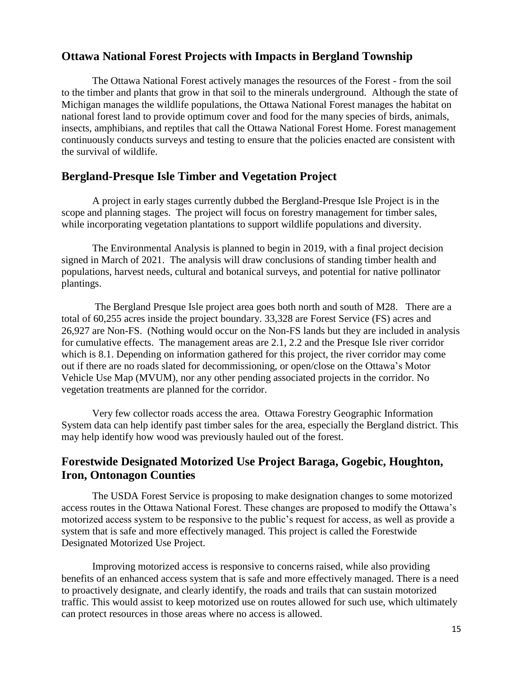#### **Ottawa National Forest Projects with Impacts in Bergland Township**

The Ottawa National Forest actively manages the resources of the Forest - from the soil to the timber and plants that grow in that soil to the minerals underground. Although the state of Michigan manages the wildlife populations, the Ottawa National Forest manages the habitat on national forest land to provide optimum cover and food for the many species of birds, animals, insects, amphibians, and reptiles that call the Ottawa National Forest Home. Forest management continuously conducts surveys and testing to ensure that the policies enacted are consistent with the survival of wildlife.

## **Bergland-Presque Isle Timber and Vegetation Project**

A project in early stages currently dubbed the Bergland-Presque Isle Project is in the scope and planning stages. The project will focus on forestry management for timber sales, while incorporating vegetation plantations to support wildlife populations and diversity.

The Environmental Analysis is planned to begin in 2019, with a final project decision signed in March of 2021. The analysis will draw conclusions of standing timber health and populations, harvest needs, cultural and botanical surveys, and potential for native pollinator plantings.

The Bergland Presque Isle project area goes both north and south of M28. There are a total of 60,255 acres inside the project boundary. 33,328 are Forest Service (FS) acres and 26,927 are Non-FS. (Nothing would occur on the Non-FS lands but they are included in analysis for cumulative effects. The management areas are 2.1, 2.2 and the Presque Isle river corridor which is 8.1. Depending on information gathered for this project, the river corridor may come out if there are no roads slated for decommissioning, or open/close on the Ottawa's Motor Vehicle Use Map (MVUM), nor any other pending associated projects in the corridor. No vegetation treatments are planned for the corridor.

Very few collector roads access the area. Ottawa Forestry Geographic Information System data can help identify past timber sales for the area, especially the Bergland district. This may help identify how wood was previously hauled out of the forest.

## **Forestwide Designated Motorized Use Project Baraga, Gogebic, Houghton, Iron, Ontonagon Counties**

The USDA Forest Service is proposing to make designation changes to some motorized access routes in the Ottawa National Forest. These changes are proposed to modify the Ottawa's motorized access system to be responsive to the public's request for access, as well as provide a system that is safe and more effectively managed. This project is called the Forestwide Designated Motorized Use Project.

Improving motorized access is responsive to concerns raised, while also providing benefits of an enhanced access system that is safe and more effectively managed. There is a need to proactively designate, and clearly identify, the roads and trails that can sustain motorized traffic. This would assist to keep motorized use on routes allowed for such use, which ultimately can protect resources in those areas where no access is allowed.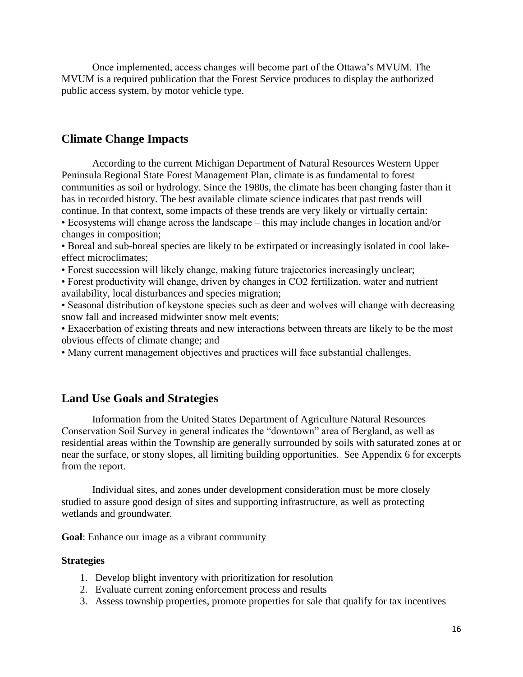Once implemented, access changes will become part of the Ottawa's MVUM. The MVUM is a required publication that the Forest Service produces to display the authorized public access system, by motor vehicle type.

### **Climate Change Impacts**

According to the current Michigan Department of Natural Resources Western Upper Peninsula Regional State Forest Management Plan, climate is as fundamental to forest communities as soil or hydrology. Since the 1980s, the climate has been changing faster than it has in recorded history. The best available climate science indicates that past trends will continue. In that context, some impacts of these trends are very likely or virtually certain: • Ecosystems will change across the landscape – this may include changes in location and/or

changes in composition;

• Boreal and sub-boreal species are likely to be extirpated or increasingly isolated in cool lakeeffect microclimates;

• Forest succession will likely change, making future trajectories increasingly unclear;

• Forest productivity will change, driven by changes in CO2 fertilization, water and nutrient availability, local disturbances and species migration;

• Seasonal distribution of keystone species such as deer and wolves will change with decreasing snow fall and increased midwinter snow melt events;

• Exacerbation of existing threats and new interactions between threats are likely to be the most obvious effects of climate change; and

• Many current management objectives and practices will face substantial challenges.

## **Land Use Goals and Strategies**

Information from the United States Department of Agriculture Natural Resources Conservation Soil Survey in general indicates the "downtown" area of Bergland, as well as residential areas within the Township are generally surrounded by soils with saturated zones at or near the surface, or stony slopes, all limiting building opportunities. See Appendix 6 for excerpts from the report.

Individual sites, and zones under development consideration must be more closely studied to assure good design of sites and supporting infrastructure, as well as protecting wetlands and groundwater.

**Goal**: Enhance our image as a vibrant community

#### **Strategies**

- 1. Develop blight inventory with prioritization for resolution
- 2. Evaluate current zoning enforcement process and results
- 3. Assess township properties, promote properties for sale that qualify for tax incentives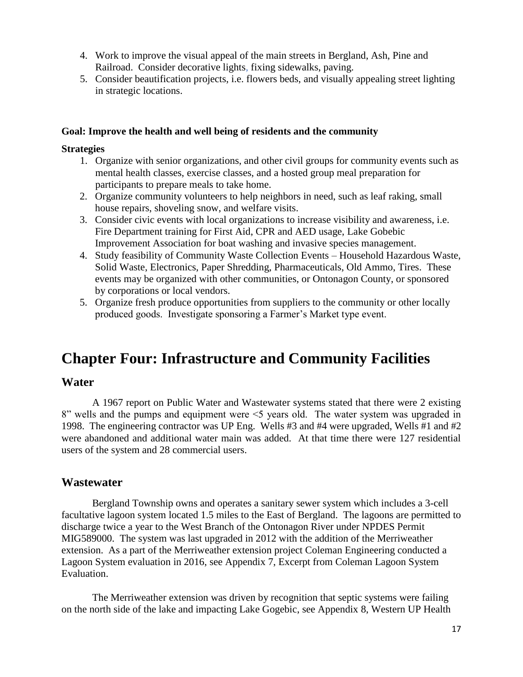- 4. Work to improve the visual appeal of the main streets in Bergland, Ash, Pine and Railroad. Consider decorative lights, fixing sidewalks, paving.
- 5. Consider beautification projects, i.e. flowers beds, and visually appealing street lighting in strategic locations.

#### **Goal: Improve the health and well being of residents and the community**

#### **Strategies**

- 1. Organize with senior organizations, and other civil groups for community events such as mental health classes, exercise classes, and a hosted group meal preparation for participants to prepare meals to take home.
- 2. Organize community volunteers to help neighbors in need, such as leaf raking, small house repairs, shoveling snow, and welfare visits.
- 3. Consider civic events with local organizations to increase visibility and awareness, i.e. Fire Department training for First Aid, CPR and AED usage, Lake Gobebic Improvement Association for boat washing and invasive species management.
- 4. Study feasibility of Community Waste Collection Events Household Hazardous Waste, Solid Waste, Electronics, Paper Shredding, Pharmaceuticals, Old Ammo, Tires. These events may be organized with other communities, or Ontonagon County, or sponsored by corporations or local vendors.
- 5. Organize fresh produce opportunities from suppliers to the community or other locally produced goods. Investigate sponsoring a Farmer's Market type event.

## **Chapter Four: Infrastructure and Community Facilities**

#### **Water**

A 1967 report on Public Water and Wastewater systems stated that there were 2 existing 8" wells and the pumps and equipment were <5 years old. The water system was upgraded in 1998. The engineering contractor was UP Eng. Wells #3 and #4 were upgraded, Wells #1 and #2 were abandoned and additional water main was added. At that time there were 127 residential users of the system and 28 commercial users.

#### **Wastewater**

Bergland Township owns and operates a sanitary sewer system which includes a 3-cell facultative lagoon system located 1.5 miles to the East of Bergland. The lagoons are permitted to discharge twice a year to the West Branch of the Ontonagon River under NPDES Permit MIG589000. The system was last upgraded in 2012 with the addition of the Merriweather extension. As a part of the Merriweather extension project Coleman Engineering conducted a Lagoon System evaluation in 2016, see Appendix 7, Excerpt from Coleman Lagoon System Evaluation.

The Merriweather extension was driven by recognition that septic systems were failing on the north side of the lake and impacting Lake Gogebic, see Appendix 8, Western UP Health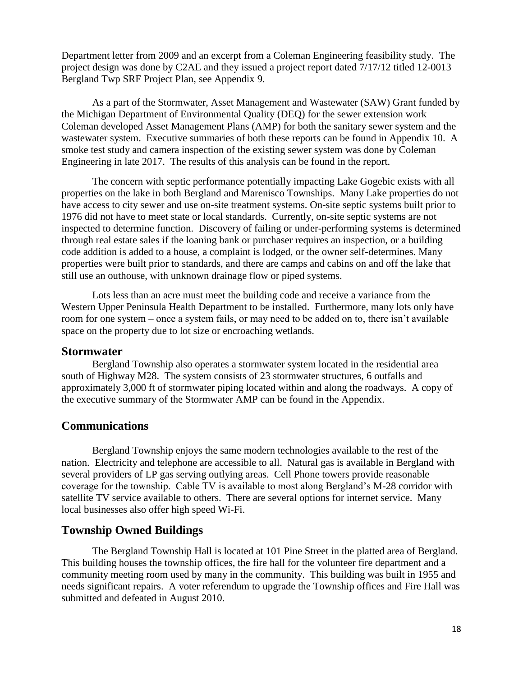Department letter from 2009 and an excerpt from a Coleman Engineering feasibility study. The project design was done by C2AE and they issued a project report dated 7/17/12 titled 12-0013 Bergland Twp SRF Project Plan, see Appendix 9.

As a part of the Stormwater, Asset Management and Wastewater (SAW) Grant funded by the Michigan Department of Environmental Quality (DEQ) for the sewer extension work Coleman developed Asset Management Plans (AMP) for both the sanitary sewer system and the wastewater system. Executive summaries of both these reports can be found in Appendix 10. A smoke test study and camera inspection of the existing sewer system was done by Coleman Engineering in late 2017. The results of this analysis can be found in the report.

The concern with septic performance potentially impacting Lake Gogebic exists with all properties on the lake in both Bergland and Marenisco Townships. Many Lake properties do not have access to city sewer and use on-site treatment systems. On-site septic systems built prior to 1976 did not have to meet state or local standards. Currently, on-site septic systems are not inspected to determine function. Discovery of failing or under-performing systems is determined through real estate sales if the loaning bank or purchaser requires an inspection, or a building code addition is added to a house, a complaint is lodged, or the owner self-determines. Many properties were built prior to standards, and there are camps and cabins on and off the lake that still use an outhouse, with unknown drainage flow or piped systems.

Lots less than an acre must meet the building code and receive a variance from the Western Upper Peninsula Health Department to be installed. Furthermore, many lots only have room for one system – once a system fails, or may need to be added on to, there isn't available space on the property due to lot size or encroaching wetlands.

#### **Stormwater**

Bergland Township also operates a stormwater system located in the residential area south of Highway M28. The system consists of 23 stormwater structures, 6 outfalls and approximately 3,000 ft of stormwater piping located within and along the roadways. A copy of the executive summary of the Stormwater AMP can be found in the Appendix.

#### **Communications**

Bergland Township enjoys the same modern technologies available to the rest of the nation. Electricity and telephone are accessible to all. Natural gas is available in Bergland with several providers of LP gas serving outlying areas. Cell Phone towers provide reasonable coverage for the township. Cable TV is available to most along Bergland's M-28 corridor with satellite TV service available to others. There are several options for internet service. Many local businesses also offer high speed Wi-Fi.

## **Township Owned Buildings**

The Bergland Township Hall is located at 101 Pine Street in the platted area of Bergland. This building houses the township offices, the fire hall for the volunteer fire department and a community meeting room used by many in the community. This building was built in 1955 and needs significant repairs. A voter referendum to upgrade the Township offices and Fire Hall was submitted and defeated in August 2010.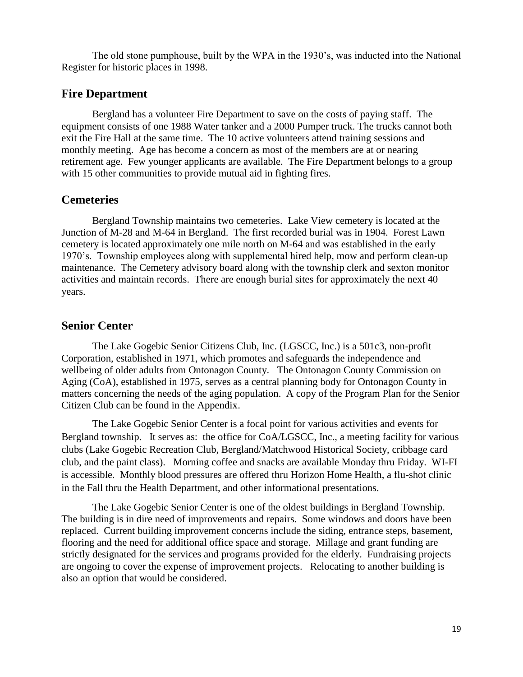The old stone pumphouse, built by the WPA in the 1930's, was inducted into the National Register for historic places in 1998.

#### **Fire Department**

Bergland has a volunteer Fire Department to save on the costs of paying staff. The equipment consists of one 1988 Water tanker and a 2000 Pumper truck. The trucks cannot both exit the Fire Hall at the same time. The 10 active volunteers attend training sessions and monthly meeting. Age has become a concern as most of the members are at or nearing retirement age. Few younger applicants are available. The Fire Department belongs to a group with 15 other communities to provide mutual aid in fighting fires.

#### **Cemeteries**

Bergland Township maintains two cemeteries. Lake View cemetery is located at the Junction of M-28 and M-64 in Bergland. The first recorded burial was in 1904. Forest Lawn cemetery is located approximately one mile north on M-64 and was established in the early 1970's. Township employees along with supplemental hired help, mow and perform clean-up maintenance. The Cemetery advisory board along with the township clerk and sexton monitor activities and maintain records. There are enough burial sites for approximately the next 40 years.

#### **Senior Center**

The Lake Gogebic Senior Citizens Club, Inc. (LGSCC, Inc.) is a 501c3, non-profit Corporation, established in 1971, which promotes and safeguards the independence and wellbeing of older adults from Ontonagon County. The Ontonagon County Commission on Aging (CoA), established in 1975, serves as a central planning body for Ontonagon County in matters concerning the needs of the aging population. A copy of the Program Plan for the Senior Citizen Club can be found in the Appendix.

The Lake Gogebic Senior Center is a focal point for various activities and events for Bergland township. It serves as: the office for CoA/LGSCC, Inc., a meeting facility for various clubs (Lake Gogebic Recreation Club, Bergland/Matchwood Historical Society, cribbage card club, and the paint class). Morning coffee and snacks are available Monday thru Friday. WI-FI is accessible. Monthly blood pressures are offered thru Horizon Home Health, a flu-shot clinic in the Fall thru the Health Department, and other informational presentations.

The Lake Gogebic Senior Center is one of the oldest buildings in Bergland Township. The building is in dire need of improvements and repairs. Some windows and doors have been replaced. Current building improvement concerns include the siding, entrance steps, basement, flooring and the need for additional office space and storage. Millage and grant funding are strictly designated for the services and programs provided for the elderly. Fundraising projects are ongoing to cover the expense of improvement projects. Relocating to another building is also an option that would be considered.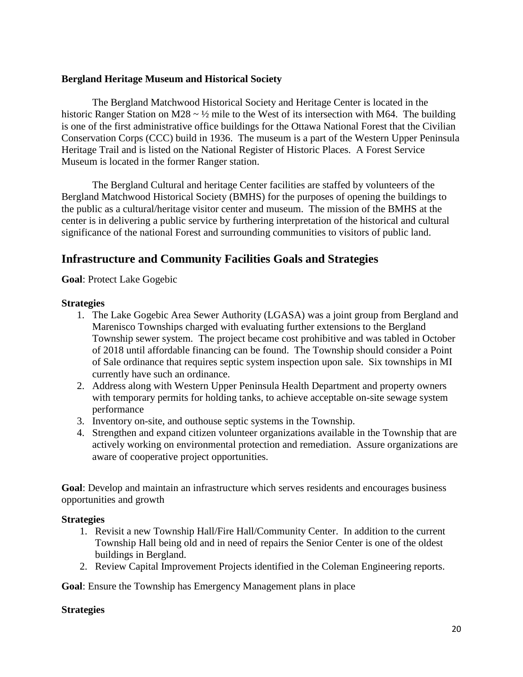#### **Bergland Heritage Museum and Historical Society**

The Bergland Matchwood Historical Society and Heritage Center is located in the historic Ranger Station on M28  $\sim \frac{1}{2}$  mile to the West of its intersection with M64. The building is one of the first administrative office buildings for the Ottawa National Forest that the Civilian Conservation Corps (CCC) build in 1936. The museum is a part of the Western Upper Peninsula Heritage Trail and is listed on the National Register of Historic Places. A Forest Service Museum is located in the former Ranger station.

The Bergland Cultural and heritage Center facilities are staffed by volunteers of the Bergland Matchwood Historical Society (BMHS) for the purposes of opening the buildings to the public as a cultural/heritage visitor center and museum. The mission of the BMHS at the center is in delivering a public service by furthering interpretation of the historical and cultural significance of the national Forest and surrounding communities to visitors of public land.

## **Infrastructure and Community Facilities Goals and Strategies**

**Goal**: Protect Lake Gogebic

#### **Strategies**

- 1. The Lake Gogebic Area Sewer Authority (LGASA) was a joint group from Bergland and Marenisco Townships charged with evaluating further extensions to the Bergland Township sewer system. The project became cost prohibitive and was tabled in October of 2018 until affordable financing can be found. The Township should consider a Point of Sale ordinance that requires septic system inspection upon sale. Six townships in MI currently have such an ordinance.
- 2. Address along with Western Upper Peninsula Health Department and property owners with temporary permits for holding tanks, to achieve acceptable on-site sewage system performance
- 3. Inventory on-site, and outhouse septic systems in the Township.
- 4. Strengthen and expand citizen volunteer organizations available in the Township that are actively working on environmental protection and remediation. Assure organizations are aware of cooperative project opportunities.

**Goal**: Develop and maintain an infrastructure which serves residents and encourages business opportunities and growth

#### **Strategies**

- 1. Revisit a new Township Hall/Fire Hall/Community Center. In addition to the current Township Hall being old and in need of repairs the Senior Center is one of the oldest buildings in Bergland.
- 2. Review Capital Improvement Projects identified in the Coleman Engineering reports.

**Goal**: Ensure the Township has Emergency Management plans in place

#### **Strategies**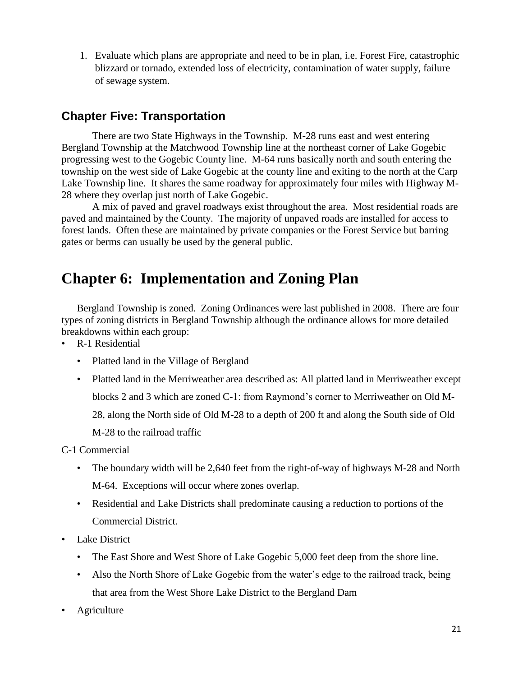1. Evaluate which plans are appropriate and need to be in plan, i.e. Forest Fire, catastrophic blizzard or tornado, extended loss of electricity, contamination of water supply, failure of sewage system.

## **Chapter Five: Transportation**

There are two State Highways in the Township. M-28 runs east and west entering Bergland Township at the Matchwood Township line at the northeast corner of Lake Gogebic progressing west to the Gogebic County line. M-64 runs basically north and south entering the township on the west side of Lake Gogebic at the county line and exiting to the north at the Carp Lake Township line. It shares the same roadway for approximately four miles with Highway M-28 where they overlap just north of Lake Gogebic.

A mix of paved and gravel roadways exist throughout the area. Most residential roads are paved and maintained by the County. The majority of unpaved roads are installed for access to forest lands. Often these are maintained by private companies or the Forest Service but barring gates or berms can usually be used by the general public.

# **Chapter 6: Implementation and Zoning Plan**

Bergland Township is zoned. Zoning Ordinances were last published in 2008. There are four types of zoning districts in Bergland Township although the ordinance allows for more detailed breakdowns within each group:

- R-1 Residential
	- Platted land in the Village of Bergland
	- Platted land in the Merriweather area described as: All platted land in Merriweather except blocks 2 and 3 which are zoned C-1: from Raymond's corner to Merriweather on Old M-28, along the North side of Old M-28 to a depth of 200 ft and along the South side of Old M-28 to the railroad traffic

C-1 Commercial

- The boundary width will be 2,640 feet from the right-of-way of highways M-28 and North M-64. Exceptions will occur where zones overlap.
- Residential and Lake Districts shall predominate causing a reduction to portions of the Commercial District.
- Lake District
	- The East Shore and West Shore of Lake Gogebic 5,000 feet deep from the shore line.
	- Also the North Shore of Lake Gogebic from the water's edge to the railroad track, being that area from the West Shore Lake District to the Bergland Dam
- **Agriculture**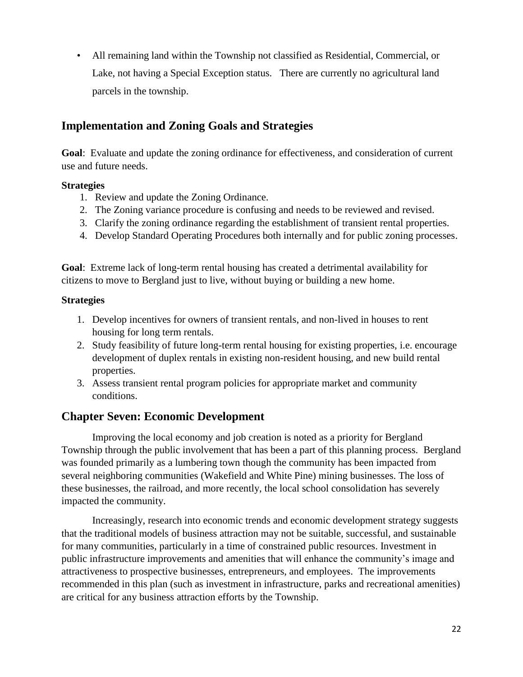• All remaining land within the Township not classified as Residential, Commercial, or Lake, not having a Special Exception status. There are currently no agricultural land parcels in the township.

## **Implementation and Zoning Goals and Strategies**

**Goal**: Evaluate and update the zoning ordinance for effectiveness, and consideration of current use and future needs.

#### **Strategies**

- 1. Review and update the Zoning Ordinance.
- 2. The Zoning variance procedure is confusing and needs to be reviewed and revised.
- 3. Clarify the zoning ordinance regarding the establishment of transient rental properties.
- 4. Develop Standard Operating Procedures both internally and for public zoning processes.

**Goal**: Extreme lack of long-term rental housing has created a detrimental availability for citizens to move to Bergland just to live, without buying or building a new home.

### **Strategies**

- 1. Develop incentives for owners of transient rentals, and non-lived in houses to rent housing for long term rentals.
- 2. Study feasibility of future long-term rental housing for existing properties, i.e. encourage development of duplex rentals in existing non-resident housing, and new build rental properties.
- 3. Assess transient rental program policies for appropriate market and community conditions.

## **Chapter Seven: Economic Development**

Improving the local economy and job creation is noted as a priority for Bergland Township through the public involvement that has been a part of this planning process. Bergland was founded primarily as a lumbering town though the community has been impacted from several neighboring communities (Wakefield and White Pine) mining businesses. The loss of these businesses, the railroad, and more recently, the local school consolidation has severely impacted the community.

Increasingly, research into economic trends and economic development strategy suggests that the traditional models of business attraction may not be suitable, successful, and sustainable for many communities, particularly in a time of constrained public resources. Investment in public infrastructure improvements and amenities that will enhance the community's image and attractiveness to prospective businesses, entrepreneurs, and employees. The improvements recommended in this plan (such as investment in infrastructure, parks and recreational amenities) are critical for any business attraction efforts by the Township.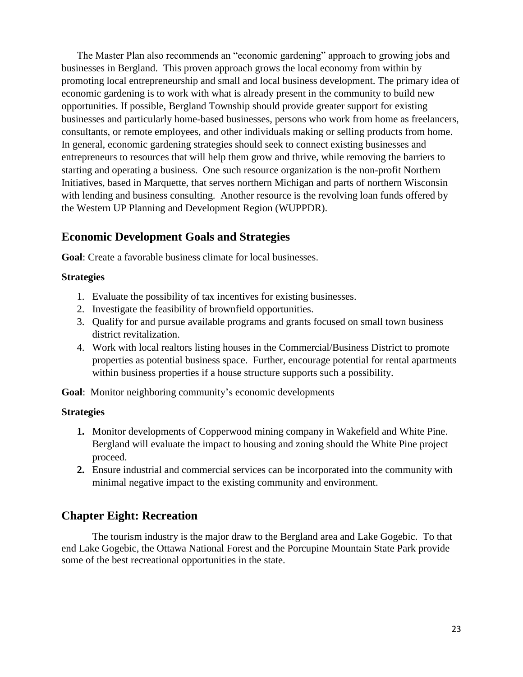The Master Plan also recommends an "economic gardening" approach to growing jobs and businesses in Bergland. This proven approach grows the local economy from within by promoting local entrepreneurship and small and local business development. The primary idea of economic gardening is to work with what is already present in the community to build new opportunities. If possible, Bergland Township should provide greater support for existing businesses and particularly home-based businesses, persons who work from home as freelancers, consultants, or remote employees, and other individuals making or selling products from home. In general, economic gardening strategies should seek to connect existing businesses and entrepreneurs to resources that will help them grow and thrive, while removing the barriers to starting and operating a business. One such resource organization is the non-profit Northern Initiatives, based in Marquette, that serves northern Michigan and parts of northern Wisconsin with lending and business consulting. Another resource is the revolving loan funds offered by the Western UP Planning and Development Region (WUPPDR).

## **Economic Development Goals and Strategies**

**Goal**: Create a favorable business climate for local businesses.

#### **Strategies**

- 1. Evaluate the possibility of tax incentives for existing businesses.
- 2. Investigate the feasibility of brownfield opportunities.
- 3. Qualify for and pursue available programs and grants focused on small town business district revitalization.
- 4. Work with local realtors listing houses in the Commercial/Business District to promote properties as potential business space. Further, encourage potential for rental apartments within business properties if a house structure supports such a possibility.

**Goal**: Monitor neighboring community's economic developments

#### **Strategies**

- **1.** Monitor developments of Copperwood mining company in Wakefield and White Pine. Bergland will evaluate the impact to housing and zoning should the White Pine project proceed.
- **2.** Ensure industrial and commercial services can be incorporated into the community with minimal negative impact to the existing community and environment.

## **Chapter Eight: Recreation**

The tourism industry is the major draw to the Bergland area and Lake Gogebic. To that end Lake Gogebic, the Ottawa National Forest and the Porcupine Mountain State Park provide some of the best recreational opportunities in the state.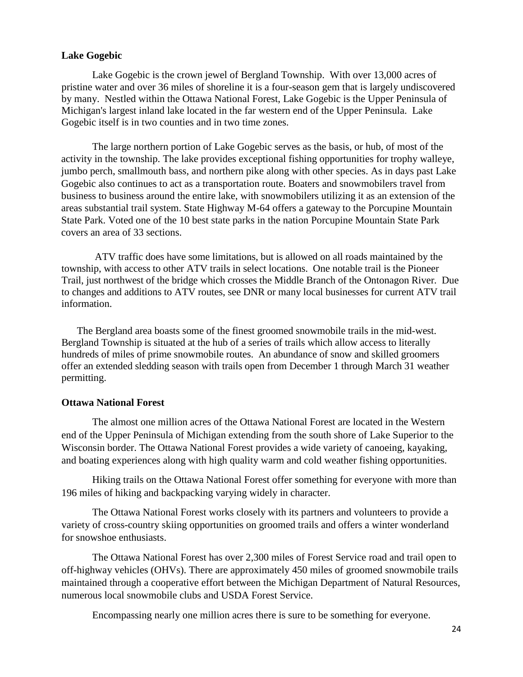#### **Lake Gogebic**

Lake Gogebic is the crown jewel of Bergland Township. With over 13,000 acres of pristine water and over 36 miles of shoreline it is a four-season gem that is largely undiscovered by many. Nestled within the Ottawa National Forest, Lake Gogebic is the Upper Peninsula of Michigan's largest inland lake located in the far western end of the Upper Peninsula. Lake Gogebic itself is in two counties and in two time zones.

The large northern portion of Lake Gogebic serves as the basis, or hub, of most of the activity in the township. The lake provides exceptional fishing opportunities for trophy walleye, jumbo perch, smallmouth bass, and northern pike along with other species. As in days past Lake Gogebic also continues to act as a transportation route. Boaters and snowmobilers travel from business to business around the entire lake, with snowmobilers utilizing it as an extension of the areas substantial trail system. State Highway M-64 offers a gateway to the Porcupine Mountain State Park. Voted one of the 10 best state parks in the nation Porcupine Mountain State Park covers an area of 33 sections.

ATV traffic does have some limitations, but is allowed on all roads maintained by the township, with access to other ATV trails in select locations. One notable trail is the Pioneer Trail, just northwest of the bridge which crosses the Middle Branch of the Ontonagon River. Due to changes and additions to ATV routes, see DNR or many local businesses for current ATV trail information.

The Bergland area boasts some of the finest groomed snowmobile trails in the mid-west. Bergland Township is situated at the hub of a series of trails which allow access to literally hundreds of miles of prime snowmobile routes. An abundance of snow and skilled groomers offer an extended sledding season with trails open from December 1 through March 31 weather permitting.

#### **Ottawa National Forest**

The almost one million acres of the Ottawa National Forest are located in the Western end of the Upper Peninsula of Michigan extending from the south shore of Lake Superior to the Wisconsin border. The Ottawa National Forest provides a wide variety of canoeing, kayaking, and boating experiences along with high quality warm and cold weather fishing opportunities.

Hiking trails on the Ottawa National Forest offer something for everyone with more than 196 miles of hiking and backpacking varying widely in character.

The Ottawa National Forest works closely with its partners and volunteers to provide a variety of cross-country skiing opportunities on groomed trails and offers a winter wonderland for snowshoe enthusiasts.

The Ottawa National Forest has over 2,300 miles of Forest Service road and trail open to off-highway vehicles (OHVs). There are approximately 450 miles of groomed snowmobile trails maintained through a cooperative effort between the Michigan Department of Natural Resources, numerous local snowmobile clubs and USDA Forest Service.

Encompassing nearly one million acres there is sure to be something for everyone.